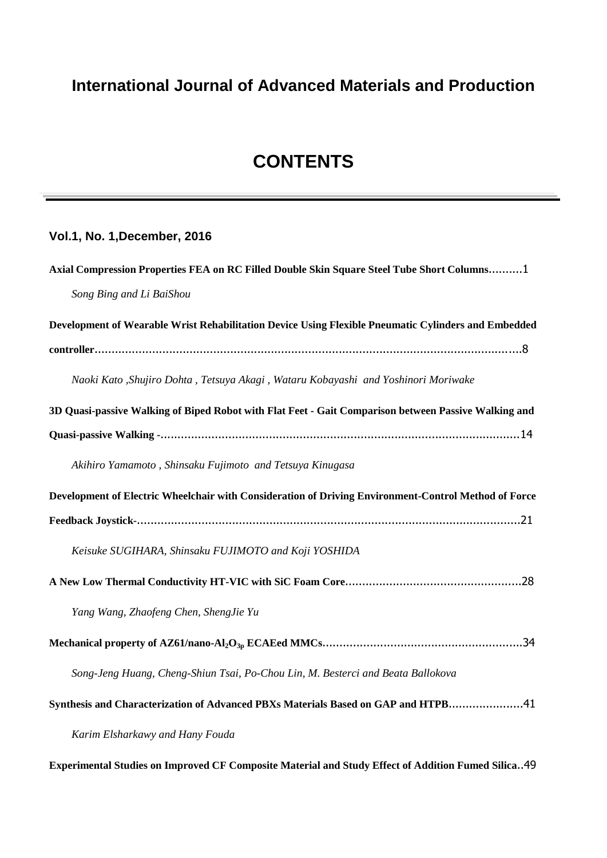## **International Journal of Advanced Materials and Production**

## **CONTENTS**

## **Vol.1, No. 1,December, 2016**

| Axial Compression Properties FEA on RC Filled Double Skin Square Steel Tube Short Columns1           |
|------------------------------------------------------------------------------------------------------|
| Song Bing and Li BaiShou                                                                             |
| Development of Wearable Wrist Rehabilitation Device Using Flexible Pneumatic Cylinders and Embedded  |
|                                                                                                      |
| Naoki Kato ,Shujiro Dohta , Tetsuya Akagi , Wataru Kobayashi and Yoshinori Moriwake                  |
| 3D Quasi-passive Walking of Biped Robot with Flat Feet - Gait Comparison between Passive Walking and |
|                                                                                                      |
| Akihiro Yamamoto, Shinsaku Fujimoto and Tetsuya Kinugasa                                             |
| Development of Electric Wheelchair with Consideration of Driving Environment-Control Method of Force |
|                                                                                                      |
| Keisuke SUGIHARA, Shinsaku FUJIMOTO and Koji YOSHIDA                                                 |
|                                                                                                      |
| Yang Wang, Zhaofeng Chen, ShengJie Yu                                                                |
|                                                                                                      |
| Song-Jeng Huang, Cheng-Shiun Tsai, Po-Chou Lin, M. Besterci and Beata Ballokova                      |
| Synthesis and Characterization of Advanced PBXs Materials Based on GAP and HTPB41                    |
| Karim Elsharkawy and Hany Fouda                                                                      |

**Experimental Studies on Improved CF Composite Material and Study Effect of Addition Fumed Silica**..49